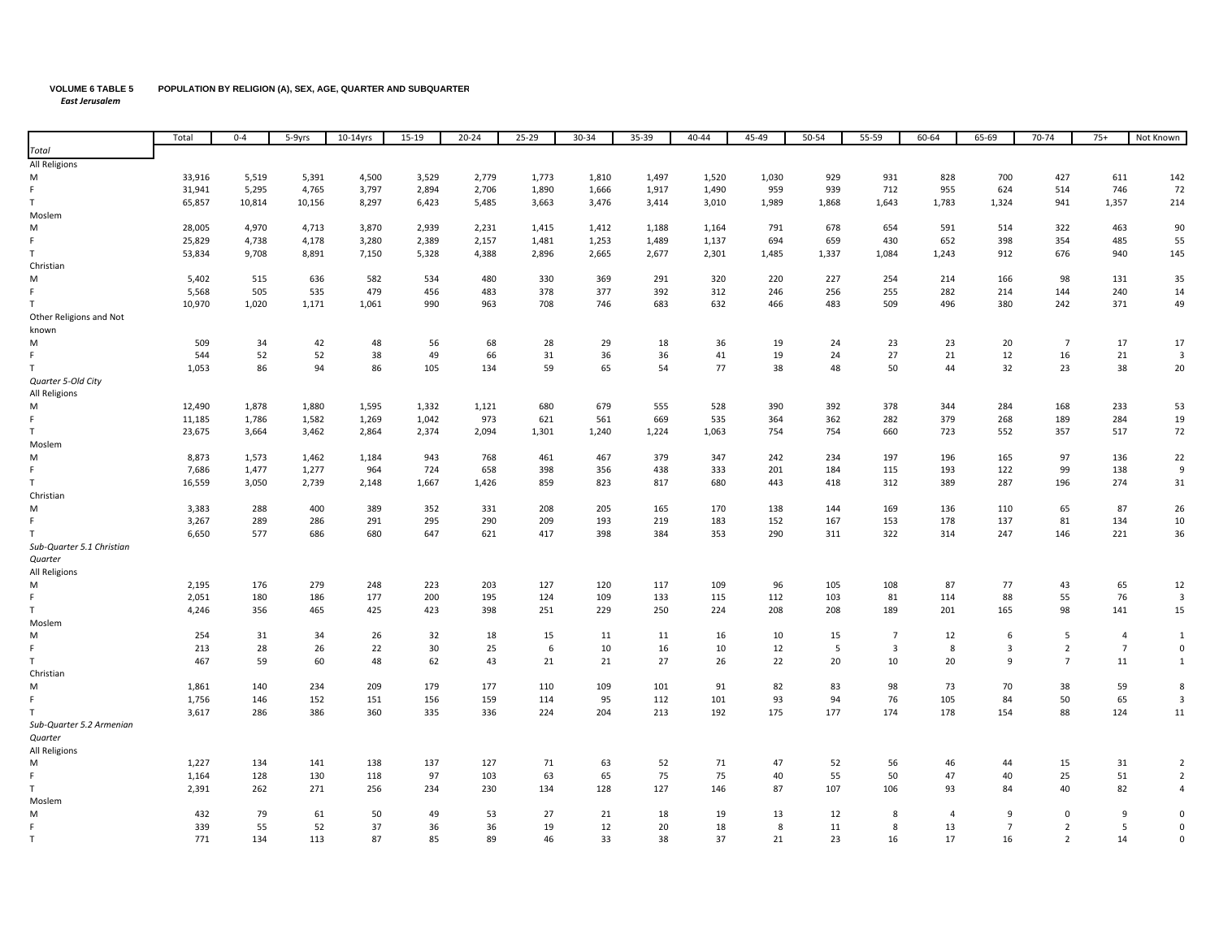## **VOLUME 6 TABLE 5 POPULATION BY RELIGION (A), SEX, AGE, QUARTER AND SUBQUARTER** *East Jerusalem*

|                           | Total  | $0 - 4$ | 5-9yrs | $10-14$ yrs | 15-19 | $20 - 24$ | 25-29 | 30-34 | 35-39 | 40-44 | 45-49 | 50-54 | 55-59                   | 60-64          | 65-69           | 70-74          | $75+$          | Not Known               |
|---------------------------|--------|---------|--------|-------------|-------|-----------|-------|-------|-------|-------|-------|-------|-------------------------|----------------|-----------------|----------------|----------------|-------------------------|
| Total                     |        |         |        |             |       |           |       |       |       |       |       |       |                         |                |                 |                |                |                         |
| All Religions             |        |         |        |             |       |           |       |       |       |       |       |       |                         |                |                 |                |                |                         |
| M                         | 33,916 | 5,519   | 5,391  | 4,500       | 3,529 | 2,779     | 1,773 | 1,810 | 1,497 | 1,520 | 1,030 | 929   | 931                     | 828            | 700             | 427            | 611            | 142                     |
| F.                        | 31,941 | 5,295   | 4,765  | 3,797       | 2,894 | 2,706     | 1,890 | 1,666 | 1,917 | 1,490 | 959   | 939   | 712                     | 955            | 624             | 514            | 746            | 72                      |
| T                         | 65,857 | 10,814  | 10,156 | 8,297       | 6,423 | 5,485     | 3,663 | 3,476 | 3,414 | 3,010 | 1,989 | 1,868 | 1,643                   | 1,783          | 1,324           | 941            | 1,357          | 214                     |
| Moslem                    |        |         |        |             |       |           |       |       |       |       |       |       |                         |                |                 |                |                |                         |
| M                         | 28,005 | 4,970   | 4,713  | 3,870       | 2,939 | 2,231     | 1,415 | 1,412 | 1,188 | 1,164 | 791   | 678   | 654                     | 591            | 514             | 322            | 463            | 90                      |
| F.                        | 25,829 | 4,738   | 4,178  | 3,280       | 2,389 | 2,157     | 1,481 | 1,253 | 1,489 | 1,137 | 694   | 659   | 430                     | 652            | 398             | 354            | 485            | 55                      |
| T.                        | 53,834 | 9,708   | 8,891  | 7,150       | 5,328 | 4,388     | 2,896 | 2,665 | 2,677 | 2,301 | 1,485 | 1,337 | 1,084                   | 1,243          | 912             | 676            | 940            | 145                     |
| Christian                 |        |         |        |             |       |           |       |       |       |       |       |       |                         |                |                 |                |                |                         |
| M                         | 5,402  | 515     | 636    | 582         | 534   | 480       | 330   | 369   | 291   | 320   | 220   | 227   | 254                     | 214            | 166             | 98             | 131            | 35                      |
|                           | 5,568  | 505     | 535    | 479         | 456   | 483       | 378   | 377   | 392   | 312   | 246   | 256   | 255                     | 282            | 214             | 144            | 240            | 14                      |
| T.                        | 10,970 | 1,020   | 1,171  | 1,061       | 990   | 963       | 708   | 746   | 683   | 632   | 466   | 483   | 509                     | 496            | 380             | 242            | 371            | 49                      |
| Other Religions and Not   |        |         |        |             |       |           |       |       |       |       |       |       |                         |                |                 |                |                |                         |
| known                     |        |         |        |             |       |           |       |       |       |       |       |       |                         |                |                 |                |                |                         |
| M                         | 509    | 34      | 42     | 48          | 56    | 68        | 28    | 29    | 18    | 36    | 19    | 24    | 23                      | 23             | 20              | $\overline{7}$ | 17             | 17                      |
|                           | 544    | 52      | 52     | 38          | 49    | 66        | 31    | 36    | 36    | 41    | 19    | 24    | 27                      | 21             | 12              | 16             | 21             | $\overline{\mathbf{3}}$ |
| T.                        | 1,053  | 86      | 94     | 86          | 105   | 134       | 59    | 65    | 54    | 77    | 38    | 48    | 50                      | 44             | 32              | 23             | 38             | 20                      |
| Quarter 5-Old City        |        |         |        |             |       |           |       |       |       |       |       |       |                         |                |                 |                |                |                         |
| All Religions             |        |         |        |             |       |           |       |       |       |       |       |       |                         |                |                 |                |                |                         |
| M                         | 12,490 | 1,878   | 1,880  | 1,595       | 1,332 | 1,121     | 680   | 679   | 555   | 528   | 390   | 392   | 378                     | 344            | 284             | 168            | 233            | 53                      |
| F.                        | 11,185 | 1,786   | 1,582  | 1,269       | 1,042 | 973       | 621   | 561   | 669   | 535   | 364   | 362   | 282                     | 379            | 268             | 189            | 284            | 19                      |
| T                         | 23,675 | 3,664   | 3,462  | 2,864       | 2,374 | 2,094     | 1,301 | 1,240 | 1,224 | 1,063 | 754   | 754   | 660                     | 723            | 552             | 357            | 517            | 72                      |
| Moslem                    |        |         |        |             |       |           |       |       |       |       |       |       |                         |                |                 |                |                |                         |
| M                         | 8,873  | 1,573   | 1,462  | 1,184       | 943   | 768       | 461   | 467   | 379   | 347   | 242   | 234   | 197                     | 196            | 165             | 97             | 136            | 22                      |
| F.                        | 7,686  | 1,477   | 1,277  | 964         | 724   | 658       | 398   | 356   | 438   | 333   | 201   | 184   | 115                     | 193            | 122             | 99             | 138            | 9                       |
| T.                        | 16,559 | 3,050   | 2,739  | 2,148       | 1,667 | 1,426     | 859   | 823   | 817   | 680   | 443   | 418   | 312                     | 389            | 287             | 196            | 274            | 31                      |
| Christian                 |        |         |        |             |       |           |       |       |       |       |       |       |                         |                |                 |                |                |                         |
| M                         | 3,383  | 288     | 400    | 389         | 352   | 331       | 208   | 205   | 165   | 170   | 138   | 144   | 169                     | 136            | 110             | 65             | 87             | 26                      |
| F.                        | 3,267  | 289     | 286    | 291         | 295   | 290       | 209   | 193   | 219   | 183   | 152   | 167   | 153                     | 178            | 137             | 81             | 134            | 10                      |
| T.                        | 6,650  | 577     | 686    | 680         | 647   | 621       | 417   | 398   | 384   | 353   | 290   | 311   | 322                     | 314            | 247             | 146            | 221            | 36                      |
| Sub-Quarter 5.1 Christian |        |         |        |             |       |           |       |       |       |       |       |       |                         |                |                 |                |                |                         |
| Quarter                   |        |         |        |             |       |           |       |       |       |       |       |       |                         |                |                 |                |                |                         |
| All Religions             |        |         |        |             |       |           |       |       |       |       |       |       |                         |                |                 |                |                |                         |
| M                         | 2,195  | 176     | 279    | 248         | 223   | 203       | 127   | 120   | 117   | 109   | 96    | 105   | 108                     | 87             | 77              | 43             | 65             | 12                      |
| F.                        | 2,051  | 180     | 186    | 177         | 200   | 195       | 124   | 109   | 133   | 115   | 112   | 103   | 81                      | 114            | 88              | 55             | 76             | $\overline{\mathbf{3}}$ |
| T.                        | 4,246  | 356     | 465    | 425         | 423   | 398       | 251   | 229   | 250   | 224   | 208   | 208   | 189                     | 201            | 165             | 98             | 141            | 15                      |
| Moslem                    |        |         |        |             |       |           |       |       |       |       |       |       |                         |                |                 |                |                |                         |
| M                         | 254    | 31      | 34     | 26          | 32    | 18        | 15    | 11    | 11    | 16    | 10    | 15    | $\overline{7}$          | 12             | 6               | 5              | $\overline{4}$ | $\mathbf{1}$            |
| F.                        | 213    | 28      | 26     | 22          | 30    | 25        | 6     | 10    | 16    | 10    | 12    | 5     | $\overline{\mathbf{3}}$ | 8              | $\overline{3}$  | $\overline{2}$ | $\overline{7}$ | $\mathbf 0$             |
| T                         | 467    | 59      | 60     | 48          | 62    | 43        | 21    | 21    | 27    | 26    | 22    | 20    | 10                      | 20             | 9               | $\overline{7}$ | 11             | $\mathbf{1}$            |
| Christian                 |        |         |        |             |       |           |       |       |       |       |       |       |                         |                |                 |                |                |                         |
| M                         | 1,861  | 140     | 234    | 209         | 179   | 177       | 110   | 109   | 101   | 91    | 82    | 83    | 98                      | 73             | 70              | 38             | 59             | 8                       |
|                           | 1,756  | 146     | 152    | 151         | 156   | 159       | 114   | 95    | 112   | 101   | 93    | 94    | 76                      | 105            | 84              | 50             | 65             | $\overline{\mathbf{3}}$ |
|                           | 3,617  | 286     | 386    | 360         | 335   | 336       | 224   | 204   | 213   | 192   | 175   | 177   | 174                     | 178            | 154             | 88             | 124            | 11                      |
| Sub-Quarter 5.2 Armenian  |        |         |        |             |       |           |       |       |       |       |       |       |                         |                |                 |                |                |                         |
| Quarter                   |        |         |        |             |       |           |       |       |       |       |       |       |                         |                |                 |                |                |                         |
|                           |        |         |        |             |       |           |       |       |       |       |       |       |                         |                |                 |                |                |                         |
| All Religions<br>M        | 1,227  |         |        | 138         | 137   | 127       | 71    |       |       | 71    | 47    |       | 56                      |                |                 |                | 31             | $\overline{2}$          |
|                           |        | 134     | 141    |             |       |           |       | 63    | 52    |       |       | 52    |                         | 46             | 44              | 15             |                |                         |
| F.                        | 1,164  | 128     | 130    | 118         | 97    | 103       | 63    | 65    | 75    | 75    | 40    | 55    | 50                      | 47             | 40              | 25             | 51             | $\overline{2}$          |
| $\mathsf T$               | 2,391  | 262     | 271    | 256         | 234   | 230       | 134   | 128   | 127   | 146   | 87    | 107   | 106                     | 93             | 84              | 40             | 82             | $\overline{4}$          |
| Moslem                    |        |         |        |             |       |           |       |       |       |       |       |       |                         |                |                 |                |                |                         |
| M                         | 432    | 79      | 61     | 50          | 49    | 53        | 27    | 21    | 18    | 19    | 13    | 12    | 8                       | $\overline{4}$ | 9               | $\mathbf 0$    | 9              | $\mathbf 0$             |
| F.                        | 339    | 55      | 52     | 37          | 36    | 36        | 19    | 12    | 20    | 18    | 8     | 11    | 8                       | 13             | $7\overline{ }$ | $\overline{2}$ | 5              | $\mathbf 0$             |
| T.                        | 771    | 134     | 113    | 87          | 85    | 89        | 46    | 33    | 38    | 37    | 21    | 23    | 16                      | 17             | 16              | $\overline{2}$ | 14             | 0                       |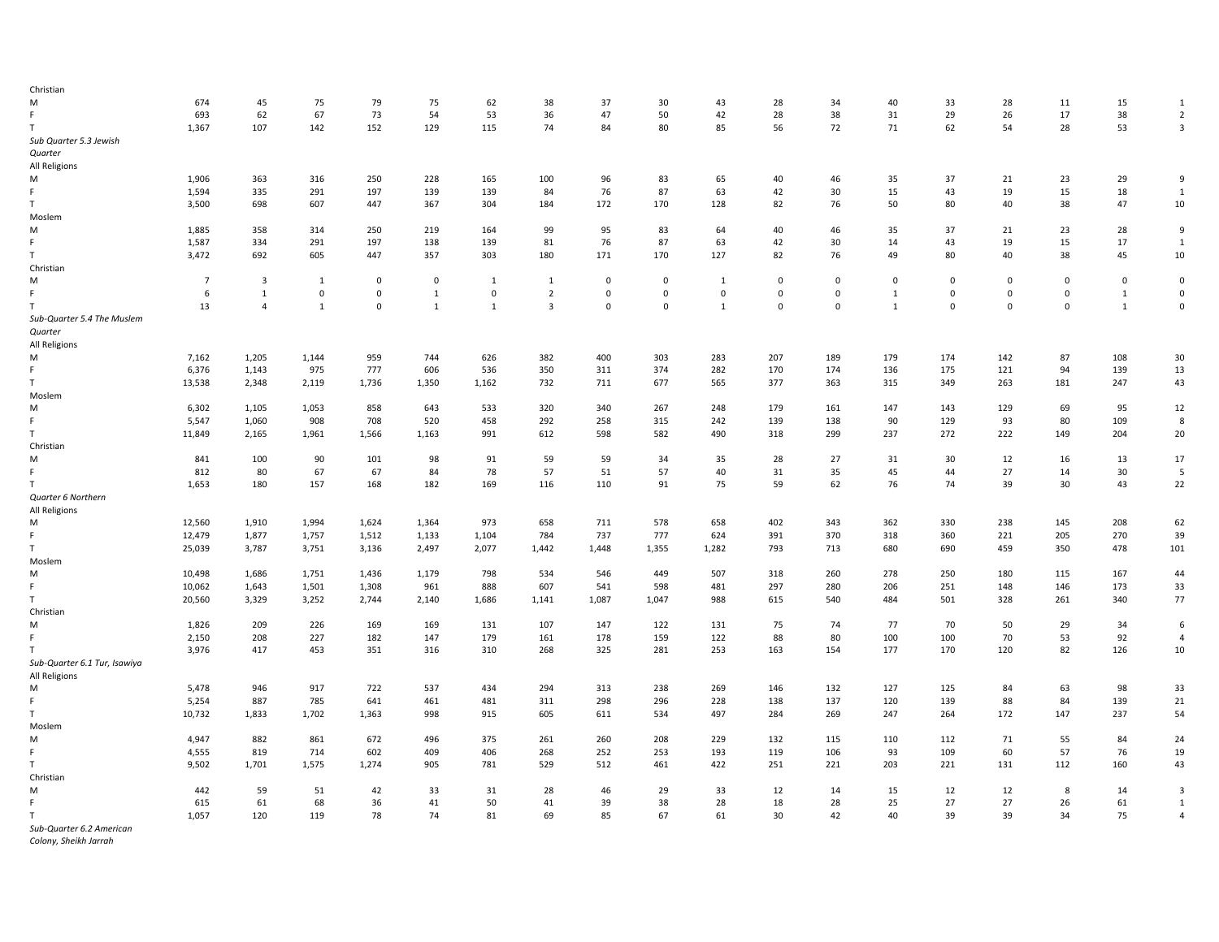| Christian                    |                |                |              |             |              |              |                |             |             |              |             |             |              |             |                |             |              |                         |
|------------------------------|----------------|----------------|--------------|-------------|--------------|--------------|----------------|-------------|-------------|--------------|-------------|-------------|--------------|-------------|----------------|-------------|--------------|-------------------------|
| M                            | 674            | 45             | 75           | 79          | 75           | 62           | 38             | 37          | 30          | 43           | 28          | 34          | 40           | 33          | 28             | 11          | 15           | $\mathbf{1}$            |
|                              | 693            | 62             | 67           | 73          | 54           | 53           | 36             | 47          | 50          | 42           | 28          | 38          | 31           | 29          | 26             | 17          | 38           | $\overline{2}$          |
|                              | 1,367          | 107            | 142          | 152         | 129          | 115          | 74             | 84          | 80          | 85           | 56          | 72          | 71           | 62          | 54             | 28          | 53           | $\overline{3}$          |
| Sub Quarter 5.3 Jewish       |                |                |              |             |              |              |                |             |             |              |             |             |              |             |                |             |              |                         |
| Quarter                      |                |                |              |             |              |              |                |             |             |              |             |             |              |             |                |             |              |                         |
| All Religions                |                |                |              |             |              |              |                |             |             |              |             |             |              |             |                |             |              |                         |
| M                            | 1,906          | 363            | 316          | 250         | 228          | 165          | 100            | 96          | 83          | 65           | 40          | 46          | 35           | 37          | 21             | 23          | 29           | 9                       |
| F.                           | 1,594          | 335            | 291          | 197         | 139          | 139          | 84             | 76          | 87          | 63           | 42          | 30          | 15           | 43          | 19             | 15          | 18           | $\mathbf{1}$            |
| T.                           | 3,500          | 698            | 607          | 447         | 367          | 304          | 184            | 172         | 170         | 128          | 82          | 76          | 50           | 80          | 40             | 38          | 47           | 10                      |
| Moslem                       |                |                |              |             |              |              |                |             |             |              |             |             |              |             |                |             |              |                         |
| M                            | 1,885          | 358            | 314          | 250         | 219          | 164          | 99             | 95          | 83          | 64           | 40          | 46          | 35           | 37          | 21             | 23          | 28           | 9                       |
| F.                           | 1,587          | 334            | 291          | 197         | 138          | 139          | 81             | 76          | 87          | 63           | 42          | 30          | 14           | 43          | 19             | 15          | 17           | $\mathbf{1}$            |
| T                            | 3,472          | 692            | 605          | 447         | 357          | 303          | 180            | 171         | 170         | 127          | 82          | 76          | 49           | 80          | 40             | 38          | 45           | 10                      |
| Christian                    |                |                |              |             |              |              |                |             |             |              |             |             |              |             |                |             |              |                         |
| M                            | $\overline{7}$ | 3              | 1            | $\mathbf 0$ | $\mathbf 0$  | $\mathbf{1}$ | $\mathbf{1}$   | $\mathbf 0$ | $\mathsf 0$ | 1            | $\mathbf 0$ | $\mathbf 0$ | $\mathbf 0$  | 0           | $\mathbf 0$    | $\mathbf 0$ | $\mathsf 0$  | $\mathbf 0$             |
|                              | 6              | $\mathbf{1}$   | $\mathsf 0$  | $\mathbf 0$ | $\mathbf{1}$ | 0            | $\overline{2}$ | $\mathbf 0$ | $\mathsf 0$ | $\pmb{0}$    | $\mathsf 0$ | $\mathbf 0$ | $\mathbf{1}$ | 0           | $\,0\,$        | $\mathbf 0$ | $\mathbf{1}$ | $\mathbf 0$             |
|                              | 13             | $\overline{4}$ | $\mathbf{1}$ | $\mathbf 0$ | $\mathbf{1}$ | $\mathbf{1}$ | $\overline{3}$ | $\mathbf 0$ | $\mathbf 0$ | $\mathbf{1}$ | $\mathsf 0$ | $\mathbf 0$ | $\mathbf{1}$ | $\mathbf 0$ | $\overline{0}$ | $\mathbf 0$ | $\mathbf{1}$ | $\mathbf 0$             |
| Sub-Quarter 5.4 The Muslem   |                |                |              |             |              |              |                |             |             |              |             |             |              |             |                |             |              |                         |
|                              |                |                |              |             |              |              |                |             |             |              |             |             |              |             |                |             |              |                         |
| Quarter                      |                |                |              |             |              |              |                |             |             |              |             |             |              |             |                |             |              |                         |
| All Religions                |                |                |              |             |              |              |                |             |             |              |             |             |              |             |                |             |              |                         |
| M                            | 7,162          | 1,205          | 1,144        | 959         | 744          | 626          | 382            | 400         | 303         | 283          | 207         | 189         | 179          | 174         | 142            | 87          | 108          | 30                      |
| F.                           | 6,376          | 1,143          | 975          | 777         | 606          | 536          | 350            | 311         | 374         | 282          | 170         | 174         | 136          | 175         | 121            | 94          | 139          | 13                      |
| T.                           | 13,538         | 2,348          | 2,119        | 1,736       | 1,350        | 1,162        | 732            | 711         | 677         | 565          | 377         | 363         | 315          | 349         | 263            | 181         | 247          | 43                      |
| Moslem                       |                |                |              |             |              |              |                |             |             |              |             |             |              |             |                |             |              |                         |
| M                            | 6,302          | 1,105          | 1,053        | 858         | 643          | 533          | 320            | 340         | 267         | 248          | 179         | 161         | 147          | 143         | 129            | 69          | 95           | 12                      |
| F.                           | 5,547          | 1,060          | 908          | 708         | 520          | 458          | 292            | 258         | 315         | 242          | 139         | 138         | 90           | 129         | 93             | 80          | 109          | 8                       |
| $\mathsf T$                  | 11,849         | 2,165          | 1,961        | 1,566       | 1,163        | 991          | 612            | 598         | 582         | 490          | 318         | 299         | 237          | 272         | 222            | 149         | 204          | 20                      |
| Christian                    |                |                |              |             |              |              |                |             |             |              |             |             |              |             |                |             |              |                         |
| M                            | 841            | 100            | 90           | 101         | 98           | 91           | 59             | 59          | 34          | 35           | 28          | 27          | 31           | 30          | 12             | 16          | 13           | 17                      |
|                              | 812            | 80             | 67           | 67          | 84           | 78           | 57             | 51          | 57          | 40           | 31          | 35          | 45           | 44          | 27             | 14          | 30           | 5                       |
|                              | 1,653          | 180            | 157          | 168         | 182          | 169          | 116            | 110         | 91          | 75           | 59          | 62          | 76           | 74          | 39             | 30          | 43           | 22                      |
| Quarter 6 Northern           |                |                |              |             |              |              |                |             |             |              |             |             |              |             |                |             |              |                         |
| All Religions                |                |                |              |             |              |              |                |             |             |              |             |             |              |             |                |             |              |                         |
| M                            | 12,560         | 1,910          | 1,994        | 1,624       | 1,364        | 973          | 658            | 711         | 578         | 658          | 402         | 343         | 362          | 330         | 238            | 145         | 208          | 62                      |
| F.                           | 12,479         | 1,877          | 1,757        | 1,512       | 1,133        | 1,104        | 784            | 737         | 777         | 624          | 391         | 370         | 318          | 360         | 221            | 205         | 270          | 39                      |
| T.                           | 25,039         | 3,787          | 3,751        | 3,136       | 2,497        | 2,077        | 1,442          | 1,448       | 1,355       | 1,282        | 793         | 713         | 680          | 690         | 459            | 350         | 478          | 101                     |
| Moslem                       |                |                |              |             |              |              |                |             |             |              |             |             |              |             |                |             |              |                         |
| M                            | 10,498         | 1,686          | 1,751        | 1,436       | 1,179        | 798          | 534            | 546         | 449         | 507          | 318         | 260         | 278          | 250         | 180            | 115         | 167          | 44                      |
| F                            | 10,062         | 1,643          | 1,501        | 1,308       | 961          | 888          | 607            | 541         | 598         | 481          | 297         | 280         | 206          | 251         | 148            | 146         | 173          | 33                      |
| T.                           | 20,560         | 3,329          | 3,252        | 2,744       | 2,140        | 1,686        | 1,141          | 1,087       | 1,047       | 988          | 615         | 540         | 484          | 501         | 328            | 261         | 340          | 77                      |
| Christian                    |                |                |              |             |              |              |                |             |             |              |             |             |              |             |                |             |              |                         |
| M                            | 1,826          | 209            | 226          | 169         | 169          | 131          | 107            | 147         | 122         | 131          | 75          | 74          | 77           | 70          | 50             | 29          | 34           | 6                       |
|                              | 2,150          | 208            | 227          | 182         | 147          | 179          | 161            | 178         | 159         | 122          | 88          | 80          | 100          | 100         | 70             | 53          | 92           | $\overline{4}$          |
|                              | 3,976          | 417            | 453          | 351         | 316          | 310          | 268            | 325         | 281         | 253          | 163         | 154         | 177          | 170         | 120            | 82          | 126          | $10\,$                  |
| Sub-Quarter 6.1 Tur, Isawiya |                |                |              |             |              |              |                |             |             |              |             |             |              |             |                |             |              |                         |
| All Religions                |                |                |              |             |              |              |                |             |             |              |             |             |              |             |                |             |              |                         |
| M                            | 5,478          | 946            | 917          | 722         | 537          | 434          | 294            | 313         | 238         | 269          | 146         | 132         | 127          | 125         | 84             | 63          | 98           | 33                      |
| F                            | 5,254          | 887            | 785          | 641         | 461          | 481          | 311            | 298         | 296         | 228          | 138         | 137         | 120          | 139         | 88             | 84          | 139          | 21                      |
| T.                           | 10,732         | 1,833          | 1,702        | 1,363       | 998          | 915          | 605            | 611         | 534         | 497          | 284         | 269         | 247          | 264         | 172            | 147         | 237          | 54                      |
|                              |                |                |              |             |              |              |                |             |             |              |             |             |              |             |                |             |              |                         |
| Moslem<br>M                  | 4,947          | 882            | 861          | 672         | 496          | 375          | 261            | 260         | 208         | 229          | 132         | 115         | 110          | 112         | 71             | 55          | 84           | 24                      |
|                              |                |                |              |             |              |              |                |             |             |              |             |             |              |             |                |             |              |                         |
| F.                           | 4,555          | 819            | 714          | 602         | 409          | 406          | 268            | 252         | 253         | 193          | 119         | 106         | 93           | 109         | 60             | 57          | 76           | 19                      |
| T.                           | 9,502          | 1,701          | 1,575        | 1,274       | 905          | 781          | 529            | 512         | 461         | 422          | 251         | 221         | 203          | 221         | 131            | 112         | 160          | 43                      |
| Christian                    |                |                |              |             |              |              |                |             |             |              |             |             |              |             |                |             |              |                         |
| M                            | 442            | 59             | 51           | 42          | 33           | 31           | 28             | 46          | 29          | 33           | 12          | 14          | 15           | 12          | 12             | 8           | 14           | $\overline{\mathbf{3}}$ |
| F.                           | 615            | 61             | 68           | 36          | 41           | 50           | 41             | 39          | 38          | 28           | 18          | 28          | 25           | 27          | 27             | 26          | 61           | $\mathbf{1}$            |
|                              | 1,057          | 120            | 119          | 78          | 74           | 81           | 69             | 85          | 67          | 61           | 30          | 42          | 40           | 39          | 39             | 34          | 75           | $\overline{4}$          |
| Sub-Quarter 6.2 American     |                |                |              |             |              |              |                |             |             |              |             |             |              |             |                |             |              |                         |

*Colony, Sheikh Jarrah*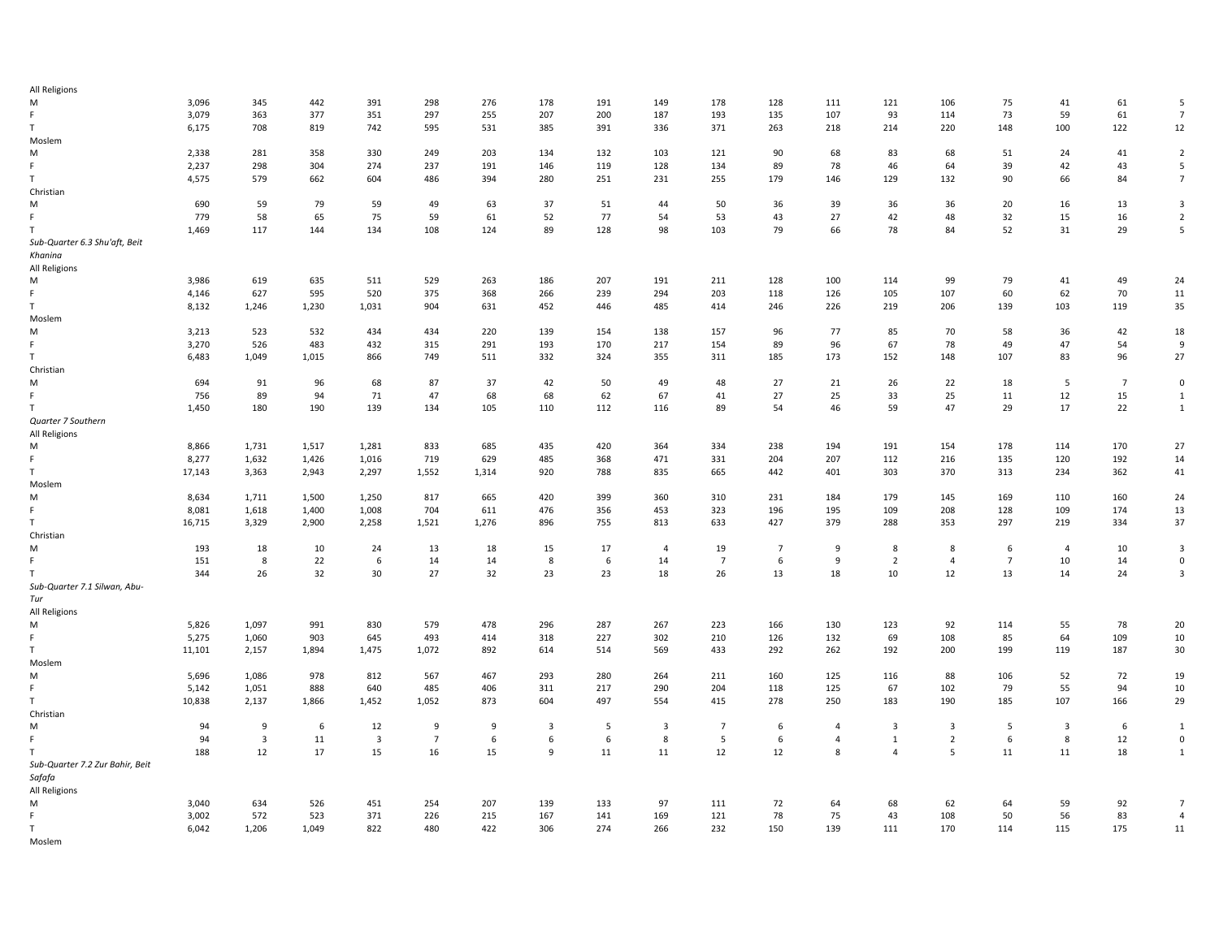| All Religions                             |        |                         |       |                         |                |       |                         |     |                         |                 |                |                |                         |                         |                |                         |                |                         |
|-------------------------------------------|--------|-------------------------|-------|-------------------------|----------------|-------|-------------------------|-----|-------------------------|-----------------|----------------|----------------|-------------------------|-------------------------|----------------|-------------------------|----------------|-------------------------|
| M                                         | 3,096  | 345                     | 442   | 391                     | 298            | 276   | 178                     | 191 | 149                     | 178             | 128            | 111            | 121                     | 106                     | 75             | 41                      | 61             | 5                       |
| F.                                        | 3,079  | 363                     | 377   | 351                     | 297            | 255   | 207                     | 200 | 187                     | 193             | 135            | 107            | 93                      | 114                     | 73             | 59                      | 61             | $\overline{7}$          |
| T.                                        | 6,175  | 708                     | 819   | 742                     | 595            | 531   | 385                     | 391 | 336                     | 371             | 263            | 218            | 214                     | 220                     | 148            | 100                     | 122            | 12                      |
| Moslem                                    |        |                         |       |                         |                |       |                         |     |                         |                 |                |                |                         |                         |                |                         |                |                         |
| M                                         | 2,338  | 281                     | 358   | 330                     | 249            | 203   | 134                     | 132 | 103                     | 121             | 90             | 68             | 83                      | 68                      | 51             | 24                      | 41             | $\overline{2}$          |
| F.                                        | 2,237  | 298                     | 304   | 274                     | 237            | 191   | 146                     | 119 | 128                     | 134             | 89             | 78             | 46                      | 64                      | 39             | 42                      | 43             | 5                       |
| T                                         | 4,575  | 579                     | 662   | 604                     | 486            | 394   | 280                     | 251 | 231                     | 255             | 179            | 146            | 129                     | 132                     | 90             | 66                      | 84             | $\overline{7}$          |
| Christian                                 |        |                         |       |                         |                |       |                         |     |                         |                 |                |                |                         |                         |                |                         |                |                         |
| M                                         | 690    | 59                      | 79    | 59                      | 49             | 63    | 37                      | 51  | 44                      | 50              | 36             | 39             | 36                      | 36                      | 20             | 16                      | 13             | $\overline{\mathbf{3}}$ |
|                                           | 779    | 58                      | 65    | 75                      | 59             | 61    | 52                      | 77  | 54                      | 53              | 43             | 27             | 42                      | 48                      | 32             | 15                      |                | $\overline{2}$          |
|                                           |        |                         |       |                         |                | 124   |                         |     | 98                      |                 |                | 66             | 78                      | 84                      |                |                         | 16             | 5                       |
| т.                                        | 1,469  | 117                     | 144   | 134                     | 108            |       | 89                      | 128 |                         | 103             | 79             |                |                         |                         | 52             | 31                      | 29             |                         |
| Sub-Quarter 6.3 Shu'aft, Beit             |        |                         |       |                         |                |       |                         |     |                         |                 |                |                |                         |                         |                |                         |                |                         |
| Khanina                                   |        |                         |       |                         |                |       |                         |     |                         |                 |                |                |                         |                         |                |                         |                |                         |
| All Religions                             |        |                         |       |                         |                |       |                         |     |                         |                 |                |                |                         |                         |                |                         |                |                         |
| M                                         | 3,986  | 619                     | 635   | 511                     | 529            | 263   | 186                     | 207 | 191                     | 211             | 128            | 100            | 114                     | 99                      | 79             | 41                      | 49             | 24                      |
| F.                                        | 4,146  | 627                     | 595   | 520                     | 375            | 368   | 266                     | 239 | 294                     | 203             | 118            | 126            | 105                     | 107                     | 60             | 62                      | 70             | 11                      |
| T                                         | 8,132  | 1,246                   | 1,230 | 1,031                   | 904            | 631   | 452                     | 446 | 485                     | 414             | 246            | 226            | 219                     | 206                     | 139            | 103                     | 119            | 35                      |
| Moslem                                    |        |                         |       |                         |                |       |                         |     |                         |                 |                |                |                         |                         |                |                         |                |                         |
| M                                         | 3,213  | 523                     | 532   | 434                     | 434            | 220   | 139                     | 154 | 138                     | 157             | 96             | 77             | 85                      | 70                      | 58             | 36                      | 42             | 18                      |
| F.                                        | 3,270  | 526                     | 483   | 432                     | 315            | 291   | 193                     | 170 | 217                     | 154             | 89             | 96             | 67                      | 78                      | 49             | 47                      | 54             | 9                       |
| T                                         | 6,483  | 1,049                   | 1,015 | 866                     | 749            | 511   | 332                     | 324 | 355                     | 311             | 185            | 173            | 152                     | 148                     | 107            | 83                      | 96             | 27                      |
| Christian                                 |        |                         |       |                         |                |       |                         |     |                         |                 |                |                |                         |                         |                |                         |                |                         |
| M                                         | 694    | 91                      | 96    | 68                      | 87             | 37    | 42                      | 50  | 49                      | 48              | 27             | 21             | 26                      | 22                      | 18             | 5                       | $\overline{7}$ | $\pmb{0}$               |
| F                                         | 756    | 89                      | 94    | 71                      | 47             | 68    | 68                      | 62  | 67                      | 41              | 27             | 25             | 33                      | 25                      | 11             | 12                      | 15             | $\mathbf{1}$            |
| T                                         | 1,450  | 180                     | 190   | 139                     | 134            | 105   | 110                     | 112 | 116                     | 89              | 54             | 46             | 59                      | 47                      | 29             | 17                      | 22             | $\mathbf{1}$            |
| Quarter 7 Southern                        |        |                         |       |                         |                |       |                         |     |                         |                 |                |                |                         |                         |                |                         |                |                         |
|                                           |        |                         |       |                         |                |       |                         |     |                         |                 |                |                |                         |                         |                |                         |                |                         |
| All Religions                             |        |                         |       |                         |                |       |                         |     |                         |                 |                |                |                         |                         |                |                         |                |                         |
| M                                         | 8,866  | 1,731                   | 1,517 | 1,281                   | 833            | 685   | 435                     | 420 | 364                     | 334             | 238            | 194            | 191                     | 154                     | 178            | 114                     | 170            | 27                      |
| F.                                        | 8,277  | 1,632                   | 1,426 | 1,016                   | 719            | 629   | 485                     | 368 | 471                     | 331             | 204            | 207            | 112                     | 216                     | 135            | 120                     | 192            | 14                      |
| T                                         | 17,143 | 3,363                   | 2,943 | 2,297                   | 1,552          | 1,314 | 920                     | 788 | 835                     | 665             | 442            | 401            | 303                     | 370                     | 313            | 234                     | 362            | 41                      |
| Moslem                                    |        |                         |       |                         |                |       |                         |     |                         |                 |                |                |                         |                         |                |                         |                |                         |
| M                                         | 8,634  | 1,711                   | 1,500 | 1,250                   | 817            | 665   | 420                     | 399 | 360                     | 310             | 231            | 184            | 179                     | 145                     | 169            | 110                     | 160            | 24                      |
| F.                                        | 8,081  | 1,618                   | 1,400 | 1,008                   | 704            | 611   | 476                     | 356 | 453                     | 323             | 196            | 195            | 109                     | 208                     | 128            | 109                     | 174            | 13                      |
| T                                         | 16,715 | 3,329                   | 2,900 | 2,258                   | 1,521          | 1,276 | 896                     | 755 | 813                     | 633             | 427            | 379            | 288                     | 353                     | 297            | 219                     | 334            | 37                      |
| Christian                                 |        |                         |       |                         |                |       |                         |     |                         |                 |                |                |                         |                         |                |                         |                |                         |
| M                                         | 193    | 18                      | 10    | 24                      | 13             | 18    | 15                      | 17  | $\overline{4}$          | 19              | $\overline{7}$ | 9              | 8                       | 8                       | 6              | $\overline{4}$          | 10             | $\overline{\mathbf{3}}$ |
| F.                                        | 151    | 8                       | 22    | 6                       | 14             | 14    | 8                       | 6   | 14                      | $7\overline{ }$ | 6              | 9              | $\overline{2}$          | $\overline{4}$          | $\overline{7}$ | 10                      | 14             | $\overline{0}$          |
| T.                                        | 344    | 26                      | 32    | 30                      | 27             | 32    | 23                      | 23  | 18                      | 26              | 13             | 18             | 10                      | 12                      | 13             | 14                      | 24             | $\overline{3}$          |
| Sub-Quarter 7.1 Silwan, Abu-              |        |                         |       |                         |                |       |                         |     |                         |                 |                |                |                         |                         |                |                         |                |                         |
| Tur                                       |        |                         |       |                         |                |       |                         |     |                         |                 |                |                |                         |                         |                |                         |                |                         |
| All Religions                             |        |                         |       |                         |                |       |                         |     |                         |                 |                |                |                         |                         |                |                         |                |                         |
| M                                         | 5,826  | 1,097                   | 991   | 830                     | 579            | 478   | 296                     | 287 | 267                     | 223             | 166            | 130            | 123                     | 92                      | 114            | 55                      | 78             | 20                      |
| F.                                        |        | 1,060                   | 903   | 645                     | 493            | 414   | 318                     | 227 | 302                     | 210             | 126            | 132            | 69                      | 108                     | 85             | 64                      | 109            | 10                      |
|                                           | 5,275  |                         |       |                         |                |       |                         |     |                         |                 |                |                |                         |                         |                |                         |                | 30                      |
| T.                                        | 11,101 | 2,157                   | 1,894 | 1,475                   | 1,072          | 892   | 614                     | 514 | 569                     | 433             | 292            | 262            | 192                     | 200                     | 199            | 119                     | 187            |                         |
| Moslem                                    |        |                         |       |                         |                |       |                         |     |                         |                 |                |                |                         |                         |                |                         |                |                         |
| M                                         | 5,696  | 1,086                   | 978   | 812                     | 567            | 467   | 293                     | 280 | 264                     | 211             | 160            | 125            | 116                     | 88                      | 106            | 52                      | 72             | 19                      |
| F.                                        | 5,142  | 1,051                   | 888   | 640                     | 485            | 406   | 311                     | 217 | 290                     | 204             | 118            | 125            | 67                      | 102                     | 79             | 55                      | 94             | 10                      |
| T                                         | 10,838 | 2,137                   | 1,866 | 1,452                   | 1,052          | 873   | 604                     | 497 | 554                     | 415             | 278            | 250            | 183                     | 190                     | 185            | 107                     | 166            | 29                      |
| Christian                                 |        |                         |       |                         |                |       |                         |     |                         |                 |                |                |                         |                         |                |                         |                |                         |
| M                                         | 94     | 9                       | 6     | 12                      | 9              | 9     | $\overline{\mathbf{3}}$ | 5   | $\overline{\mathbf{3}}$ | $\overline{7}$  | 6              | $\overline{4}$ | $\overline{\mathbf{3}}$ | $\overline{\mathbf{3}}$ | 5              | $\overline{\mathbf{3}}$ | 6              | $\mathbf{1}$            |
| F.                                        | 94     | $\overline{\mathbf{3}}$ | 11    | $\overline{\mathbf{3}}$ | $\overline{7}$ | 6     | 6                       | 6   | 8                       | 5               | 6              | $\overline{4}$ | $\mathbf{1}$            | $\overline{2}$          | 6              | 8                       | 12             | $\mathbf 0$             |
| T.                                        | 188    | 12                      | 17    | 15                      | 16             | 15    | 9                       | 11  | 11                      | 12              | 12             | 8              | $\overline{a}$          | 5                       | 11             | 11                      | 18             | $\mathbf{1}$            |
| Sub-Quarter 7.2 Zur Bahir, Beit<br>Safafa |        |                         |       |                         |                |       |                         |     |                         |                 |                |                |                         |                         |                |                         |                |                         |
| All Religions                             |        |                         |       |                         |                |       |                         |     |                         |                 |                |                |                         |                         |                |                         |                |                         |
| M                                         | 3,040  | 634                     | 526   | 451                     | 254            | 207   | 139                     | 133 | 97                      | 111             | 72             | 64             | 68                      | 62                      | 64             | 59                      | 92             | $\overline{7}$          |
| F.                                        | 3,002  | 572                     | 523   | 371                     | 226            | 215   | 167                     | 141 | 169                     | 121             | 78             | 75             | 43                      | 108                     | 50             | 56                      | 83             | $\overline{4}$          |
| T.                                        | 6,042  | 1,206                   | 1,049 | 822                     | 480            | 422   | 306                     | 274 | 266                     | 232             | 150            | 139            | 111                     | 170                     | 114            | 115                     | 175            | 11                      |
| Moslem                                    |        |                         |       |                         |                |       |                         |     |                         |                 |                |                |                         |                         |                |                         |                |                         |
|                                           |        |                         |       |                         |                |       |                         |     |                         |                 |                |                |                         |                         |                |                         |                |                         |